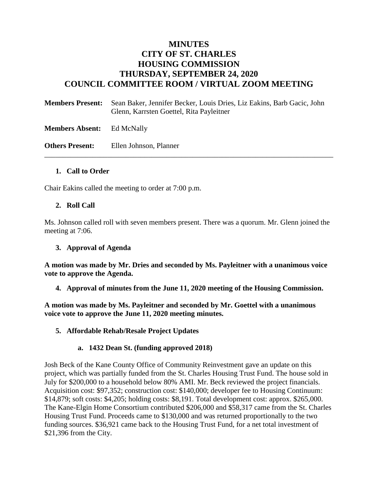# **MINUTES CITY OF ST. CHARLES HOUSING COMMISSION THURSDAY, SEPTEMBER 24, 2020 COUNCIL COMMITTEE ROOM / VIRTUAL ZOOM MEETING**

**Members Present:** Sean Baker, Jennifer Becker, Louis Dries, Liz Eakins, Barb Gacic, John Glenn, Karrsten Goettel, Rita Payleitner

\_\_\_\_\_\_\_\_\_\_\_\_\_\_\_\_\_\_\_\_\_\_\_\_\_\_\_\_\_\_\_\_\_\_\_\_\_\_\_\_\_\_\_\_\_\_\_\_\_\_\_\_\_\_\_\_\_\_\_\_\_\_\_\_\_\_\_\_\_\_\_\_\_\_\_\_\_\_

**Members Absent:** Ed McNally

**Others Present:** Ellen Johnson, Planner

#### **1. Call to Order**

Chair Eakins called the meeting to order at 7:00 p.m.

#### **2. Roll Call**

Ms. Johnson called roll with seven members present. There was a quorum. Mr. Glenn joined the meeting at 7:06.

### **3. Approval of Agenda**

**A motion was made by Mr. Dries and seconded by Ms. Payleitner with a unanimous voice vote to approve the Agenda.**

**4. Approval of minutes from the June 11, 2020 meeting of the Housing Commission.**

**A motion was made by Ms. Payleitner and seconded by Mr. Goettel with a unanimous voice vote to approve the June 11, 2020 meeting minutes.** 

#### **5. Affordable Rehab/Resale Project Updates**

#### **a. 1432 Dean St. (funding approved 2018)**

Josh Beck of the Kane County Office of Community Reinvestment gave an update on this project, which was partially funded from the St. Charles Housing Trust Fund. The house sold in July for \$200,000 to a household below 80% AMI. Mr. Beck reviewed the project financials. Acquisition cost: \$97,352; construction cost: \$140,000; developer fee to Housing Continuum: \$14,879; soft costs: \$4,205; holding costs: \$8,191. Total development cost: approx. \$265,000. The Kane-Elgin Home Consortium contributed \$206,000 and \$58,317 came from the St. Charles Housing Trust Fund. Proceeds came to \$130,000 and was returned proportionally to the two funding sources. \$36,921 came back to the Housing Trust Fund, for a net total investment of \$21,396 from the City.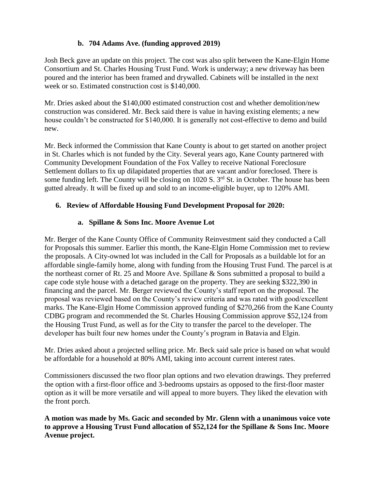# **b. 704 Adams Ave. (funding approved 2019)**

Josh Beck gave an update on this project. The cost was also split between the Kane-Elgin Home Consortium and St. Charles Housing Trust Fund. Work is underway; a new driveway has been poured and the interior has been framed and drywalled. Cabinets will be installed in the next week or so. Estimated construction cost is \$140,000.

Mr. Dries asked about the \$140,000 estimated construction cost and whether demolition/new construction was considered. Mr. Beck said there is value in having existing elements; a new house couldn't be constructed for \$140,000. It is generally not cost-effective to demo and build new.

Mr. Beck informed the Commission that Kane County is about to get started on another project in St. Charles which is not funded by the City. Several years ago, Kane County partnered with Community Development Foundation of the Fox Valley to receive National Foreclosure Settlement dollars to fix up dilapidated properties that are vacant and/or foreclosed. There is some funding left. The County will be closing on 1020 S. 3<sup>rd</sup> St. in October. The house has been gutted already. It will be fixed up and sold to an income-eligible buyer, up to 120% AMI.

# **6. Review of Affordable Housing Fund Development Proposal for 2020:**

# **a. Spillane & Sons Inc. Moore Avenue Lot**

Mr. Berger of the Kane County Office of Community Reinvestment said they conducted a Call for Proposals this summer. Earlier this month, the Kane-Elgin Home Commission met to review the proposals. A City-owned lot was included in the Call for Proposals as a buildable lot for an affordable single-family home, along with funding from the Housing Trust Fund. The parcel is at the northeast corner of Rt. 25 and Moore Ave. Spillane & Sons submitted a proposal to build a cape code style house with a detached garage on the property. They are seeking \$322,390 in financing and the parcel. Mr. Berger reviewed the County's staff report on the proposal. The proposal was reviewed based on the County's review criteria and was rated with good/excellent marks. The Kane-Elgin Home Commission approved funding of \$270,266 from the Kane County CDBG program and recommended the St. Charles Housing Commission approve \$52,124 from the Housing Trust Fund, as well as for the City to transfer the parcel to the developer. The developer has built four new homes under the County's program in Batavia and Elgin.

Mr. Dries asked about a projected selling price. Mr. Beck said sale price is based on what would be affordable for a household at 80% AMI, taking into account current interest rates.

Commissioners discussed the two floor plan options and two elevation drawings. They preferred the option with a first-floor office and 3-bedrooms upstairs as opposed to the first-floor master option as it will be more versatile and will appeal to more buyers. They liked the elevation with the front porch.

**A motion was made by Ms. Gacic and seconded by Mr. Glenn with a unanimous voice vote to approve a Housing Trust Fund allocation of \$52,124 for the Spillane & Sons Inc. Moore Avenue project.**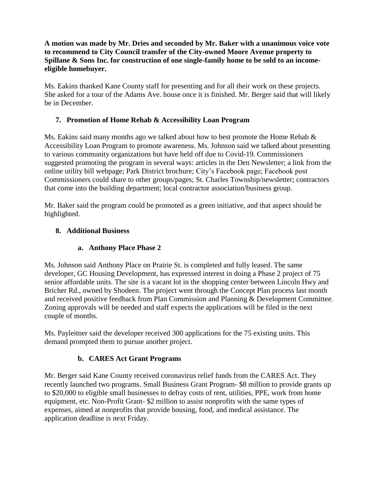**A motion was made by Mr. Dries and seconded by Mr. Baker with a unanimous voice vote to recommend to City Council transfer of the City-owned Moore Avenue property to Spillane & Sons Inc. for construction of one single-family home to be sold to an incomeeligible homebuyer.** 

Ms. Eakins thanked Kane County staff for presenting and for all their work on these projects. She asked for a tour of the Adams Ave. house once it is finished. Mr. Berger said that will likely be in December.

# **7. Promotion of Home Rehab & Accessibility Loan Program**

Ms. Eakins said many months ago we talked about how to best promote the Home Rehab  $\&$ Accessibility Loan Program to promote awareness. Ms. Johnson said we talked about presenting to various community organizations but have held off due to Covid-19. Commissioners suggested promoting the program in several ways: articles in the Den Newsletter; a link from the online utility bill webpage; Park District brochure; City's Facebook page; Facebook post Commissioners could share to other groups/pages; St. Charles Township/newsletter; contractors that come into the building department; local contractor association/business group.

Mr. Baker said the program could be promoted as a green initiative, and that aspect should be highlighted.

## **8. Additional Business**

# **a. Anthony Place Phase 2**

Ms. Johnson said Anthony Place on Prairie St. is completed and fully leased. The same developer, GC Housing Development, has expressed interest in doing a Phase 2 project of 75 senior affordable units. The site is a vacant lot in the shopping center between Lincoln Hwy and Bricher Rd., owned by Shodeen. The project went through the Concept Plan process last month and received positive feedback from Plan Commission and Planning & Development Committee. Zoning approvals will be needed and staff expects the applications will be filed in the next couple of months.

Ms. Payleitner said the developer received 300 applications for the 75 existing units. This demand prompted them to pursue another project.

# **b. CARES Act Grant Programs**

Mr. Berger said Kane County received coronavirus relief funds from the CARES Act. They recently launched two programs. Small Business Grant Program- \$8 million to provide grants up to \$20,000 to eligible small businesses to defray costs of rent, utilities, PPE, work from home equipment, etc. Non-Profit Grant- \$2 million to assist nonprofits with the same types of expenses, aimed at nonprofits that provide housing, food, and medical assistance. The application deadline is next Friday.